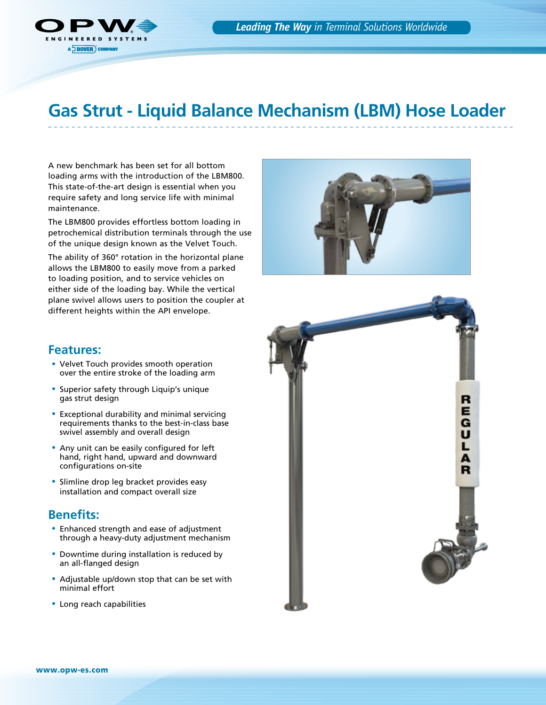

# **Gas Strut - Liquid Balance Mechanism (LBM) Hose Loader**

A new benchmark has been set for all bottom loading arms with the introduction of the LBM800. This state-of-the-art design is essential when you require safety and long service life with minimal maintenance.

The LBM800 provides effortless bottom loading in petrochemical distribution terminals through the use of the unique design known as the Velvet Touch.

The ability of 360° rotation in the horizontal plane allows the LBM800 to easily move from a parked to loading position, and to service vehicles on either side of the loading bay. While the vertical plane swivel allows users to position the coupler at different heights within the API envelope.



#### **Features:**

- Velvet Touch provides smooth operation over the entire stroke of the loading arm
- Superior safety through Liquip's unique gas strut design
- Exceptional durability and minimal servicing requirements thanks to the best-in-class base swivel assembly and overall design
- Any unit can be easily configured for left hand, right hand, upward and downward configurations on-site
- Slimline drop leg bracket provides easy installation and compact overall size

### **Benefits:**

- Enhanced strength and ease of adjustment through a heavy-duty adjustment mechanism
- Downtime during installation is reduced by an all-flanged design
- Adjustable up/down stop that can be set with minimal effort
- Long reach capabilities